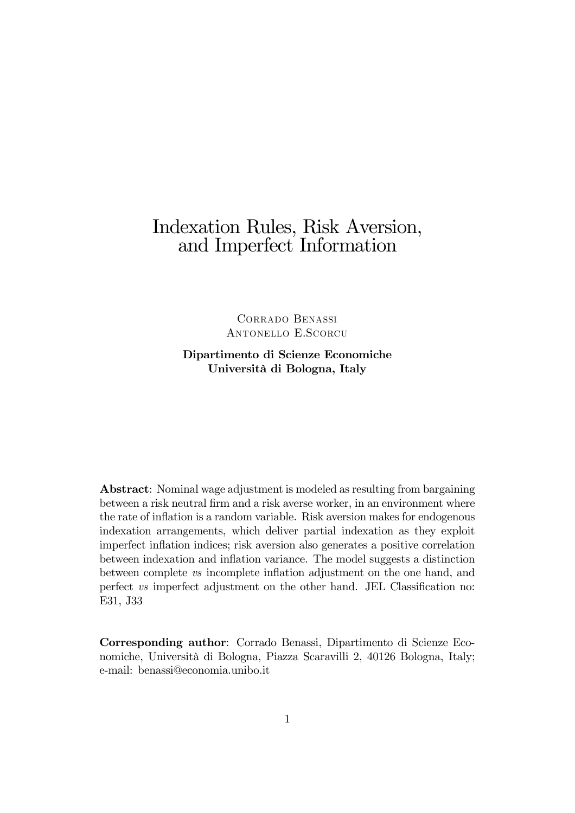# Indexation Rules, Risk Aversion, and Imperfect Information

Corrado Benassi Antonello E.Scorcu

Dipartimento di Scienze Economiche Università di Bologna, Italy

Abstract: Nominal wage adjustment is modeled as resulting from bargaining between a risk neutral firm and a risk averse worker, in an environment where the rate of inflation is a random variable. Risk aversion makes for endogenous indexation arrangements, which deliver partial indexation as they exploit imperfect inflation indices; risk aversion also generates a positive correlation between indexation and inflation variance. The model suggests a distinction between complete vs incomplete inflation adjustment on the one hand, and perfect  $vs$  imperfect adjustment on the other hand. JEL Classification no: E31, J33

Corresponding author: Corrado Benassi, Dipartimento di Scienze Economiche, Università di Bologna, Piazza Scaravilli 2, 40126 Bologna, Italy; e-mail: benassi@economia.unibo.it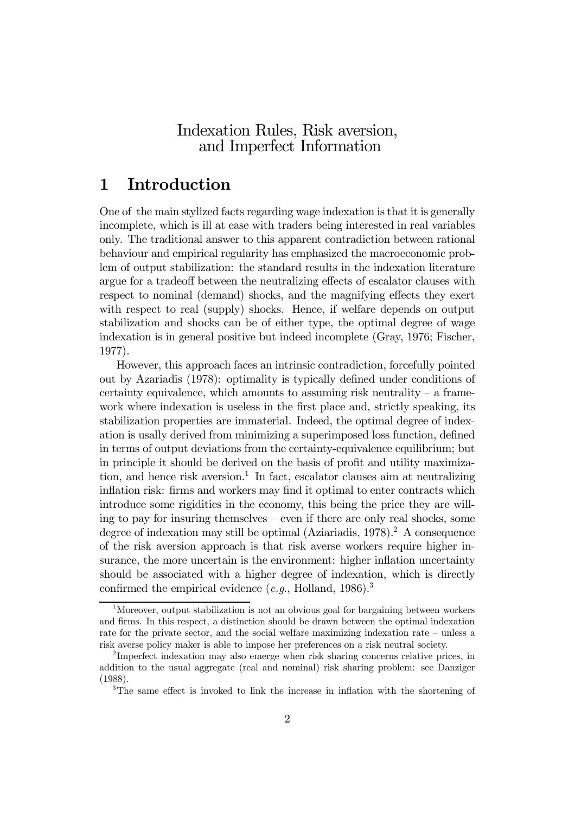### Indexation Rules, Risk aversion, and Imperfect Information

### 1 Introduction

One of the main stylized facts regarding wage indexation is that it is generally incomplete, which is ill at ease with traders being interested in real variables only. The traditional answer to this apparent contradiction between rational behaviour and empirical regularity has emphasized the macroeconomic problem of output stabilization: the standard results in the indexation literature argue for a tradeoff between the neutralizing effects of escalator clauses with respect to nominal (demand) shocks, and the magnifying effects they exert with respect to real (supply) shocks. Hence, if welfare depends on output stabilization and shocks can be of either type, the optimal degree of wage indexation is in general positive but indeed incomplete (Gray, 1976; Fischer, 1977).

However, this approach faces an intrinsic contradiction, forcefully pointed out by Azariadis (1978): optimality is typically defined under conditions of certainty equivalence, which amounts to assuming risk neutrality – a framework where indexation is useless in the first place and, strictly speaking, its stabilization properties are immaterial. Indeed, the optimal degree of indexation is usally derived from minimizing a superimposed loss function, defined in terms of output deviations from the certainty-equivalence equilibrium; but in principle it should be derived on the basis of profit and utility maximization, and hence risk aversion.<sup>1</sup> In fact, escalator clauses aim at neutralizing inflation risk: firms and workers may find it optimal to enter contracts which introduce some rigidities in the economy, this being the price they are willing to pay for insuring themselves – even if there are only real shocks, some degree of indexation may still be optimal (Aziariadis,  $1978$ ).<sup>2</sup> A consequence of the risk aversion approach is that risk averse workers require higher insurance, the more uncertain is the environment: higher inflation uncertainty should be associated with a higher degree of indexation, which is directly confirmed the empirical evidence (e.g., Holland, 1986).<sup>3</sup>

<sup>&</sup>lt;sup>1</sup>Moreover, output stabilization is not an obvious goal for bargaining between workers and firms. In this respect, a distinction should be drawn between the optimal indexation rate for the private sector, and the social welfare maximizing indexation rate – unless a risk averse policy maker is able to impose her preferences on a risk neutral society.

<sup>2</sup> Imperfect indexation may also emerge when risk sharing concerns relative prices, in addition to the usual aggregate (real and nominal) risk sharing problem: see Danziger (1988).

<sup>&</sup>lt;sup>3</sup>The same effect is invoked to link the increase in inflation with the shortening of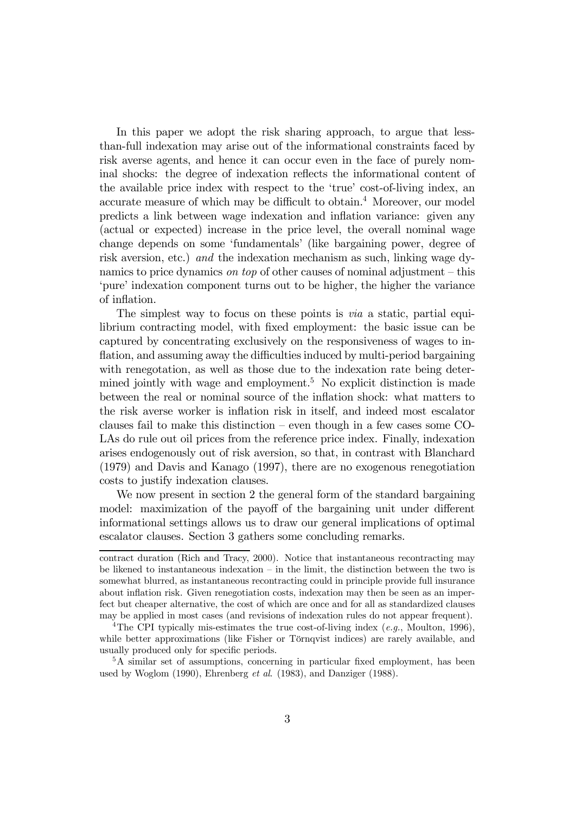In this paper we adopt the risk sharing approach, to argue that lessthan-full indexation may arise out of the informational constraints faced by risk averse agents, and hence it can occur even in the face of purely nominal shocks: the degree of indexation reflects the informational content of the available price index with respect to the 'true' cost-of-living index, an accurate measure of which may be difficult to obtain.<sup>4</sup> Moreover, our model predicts a link between wage indexation and inflation variance: given any (actual or expected) increase in the price level, the overall nominal wage change depends on some 'fundamentals' (like bargaining power, degree of risk aversion, etc.) and the indexation mechanism as such, linking wage dynamics to price dynamics on top of other causes of nominal adjustment – this 'pure' indexation component turns out to be higher, the higher the variance of inflation.

The simplest way to focus on these points is *via* a static, partial equilibrium contracting model, with fixed employment: the basic issue can be captured by concentrating exclusively on the responsiveness of wages to in flation, and assuming away the difficulties induced by multi-period bargaining with renegotation, as well as those due to the indexation rate being determined jointly with wage and employment.<sup>5</sup> No explicit distinction is made between the real or nominal source of the inflation shock: what matters to the risk averse worker is in‡ation risk in itself, and indeed most escalator clauses fail to make this distinction – even though in a few cases some CO-LAs do rule out oil prices from the reference price index. Finally, indexation arises endogenously out of risk aversion, so that, in contrast with Blanchard (1979) and Davis and Kanago (1997), there are no exogenous renegotiation costs to justify indexation clauses.

We now present in section 2 the general form of the standard bargaining model: maximization of the payoff of the bargaining unit under different informational settings allows us to draw our general implications of optimal escalator clauses. Section 3 gathers some concluding remarks.

contract duration (Rich and Tracy, 2000). Notice that instantaneous recontracting may be likened to instantaneous indexation  $-$  in the limit, the distinction between the two is somewhat blurred, as instantaneous recontracting could in principle provide full insurance about inflation risk. Given renegotiation costs, indexation may then be seen as an imperfect but cheaper alternative, the cost of which are once and for all as standardized clauses may be applied in most cases (and revisions of indexation rules do not appear frequent).

<sup>&</sup>lt;sup>4</sup>The CPI typically mis-estimates the true cost-of-living index  $(e.g.,$  Moulton, 1996), while better approximations (like Fisher or Törnqvist indices) are rarely available, and usually produced only for specific periods.

 ${}^{5}$ A similar set of assumptions, concerning in particular fixed employment, has been used by Woglom (1990), Ehrenberg *et al.* (1983), and Danziger (1988).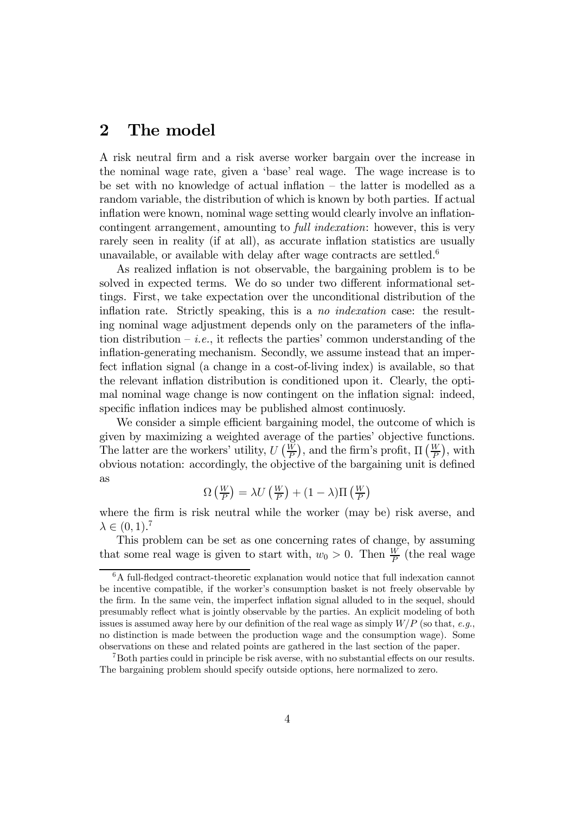### 2 The model

A risk neutral firm and a risk averse worker bargain over the increase in the nominal wage rate, given a 'base' real wage. The wage increase is to be set with no knowledge of actual inflation – the latter is modelled as a random variable, the distribution of which is known by both parties. If actual inflation were known, nominal wage setting would clearly involve an inflationcontingent arrangement, amounting to *full indexation*: however, this is very rarely seen in reality (if at all), as accurate inflation statistics are usually unavailable, or available with delay after wage contracts are settled. $6$ 

As realized inflation is not observable, the bargaining problem is to be solved in expected terms. We do so under two different informational settings. First, we take expectation over the unconditional distribution of the inflation rate. Strictly speaking, this is a no indexation case: the resulting nominal wage adjustment depends only on the parameters of the inflation distribution – *i.e.*, it reflects the parties' common understanding of the inflation-generating mechanism. Secondly, we assume instead that an imperfect inflation signal (a change in a cost-of-living index) is available, so that the relevant inflation distribution is conditioned upon it. Clearly, the optimal nominal wage change is now contingent on the inflation signal: indeed, specific inflation indices may be published almost continuosly.

We consider a simple efficient bargaining model, the outcome of which is given by maximizing a weighted average of the parties' objective functions. The latter are the workers' utility,  $U\left(\frac{W}{P}\right)$ , and the firm's profit,  $\Pi\left(\frac{W}{P}\right)$ , with obvious notation: accordingly, the objective of the bargaining unit is defined as

$$
\Omega\left(\tfrac{W}{P}\right) = \lambda U\left(\tfrac{W}{P}\right) + (1-\lambda)\Pi\left(\tfrac{W}{P}\right)
$$

where the firm is risk neutral while the worker (may be) risk averse, and  $\lambda \in (0, 1).$ <sup>7</sup>

This problem can be set as one concerning rates of change, by assuming that some real wage is given to start with,  $w_0 > 0$ . Then  $\frac{W}{P}$  (the real wage

 ${}^{6}A$  full-fledged contract-theoretic explanation would notice that full indexation cannot be incentive compatible, if the worker's consumption basket is not freely observable by the firm. In the same vein, the imperfect inflation signal alluded to in the sequel, should presumably re‡ect what is jointly observable by the parties. An explicit modeling of both issues is assumed away here by our definition of the real wage as simply  $W/P$  (so that, e.g., no distinction is made between the production wage and the consumption wage). Some observations on these and related points are gathered in the last section of the paper.

<sup>&</sup>lt;sup>7</sup>Both parties could in principle be risk averse, with no substantial effects on our results. The bargaining problem should specify outside options, here normalized to zero.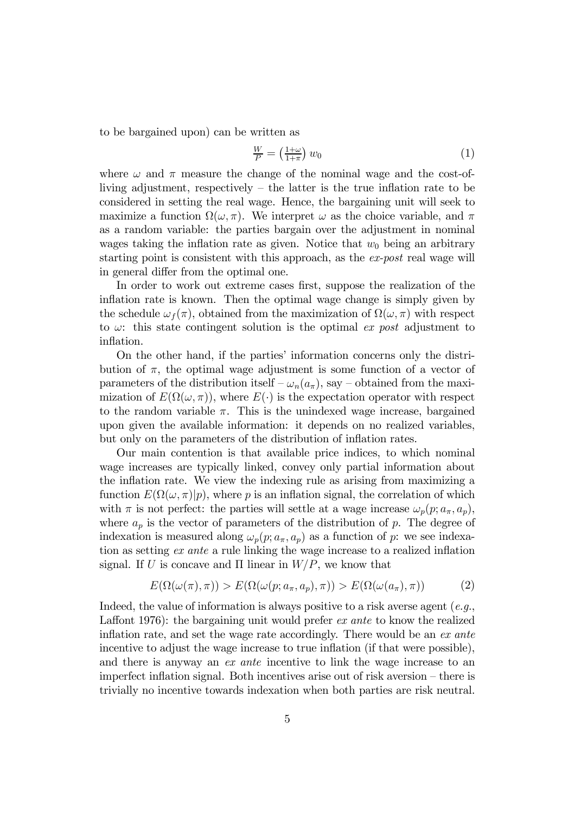to be bargained upon) can be written as

$$
\frac{W}{P} = \left(\frac{1+\omega}{1+\pi}\right)w_0\tag{1}
$$

where  $\omega$  and  $\pi$  measure the change of the nominal wage and the cost-ofliving adjustment, respectively – the latter is the true inflation rate to be considered in setting the real wage. Hence, the bargaining unit will seek to maximize a function  $\Omega(\omega, \pi)$ . We interpret  $\omega$  as the choice variable, and  $\pi$ as a random variable: the parties bargain over the adjustment in nominal wages taking the inflation rate as given. Notice that  $w_0$  being an arbitrary starting point is consistent with this approach, as the ex-post real wage will in general differ from the optimal one.

In order to work out extreme cases first, suppose the realization of the inflation rate is known. Then the optimal wage change is simply given by the schedule  $\omega_f(\pi)$ , obtained from the maximization of  $\Omega(\omega, \pi)$  with respect to  $\omega$ : this state contingent solution is the optimal ex post adjustment to inflation.

On the other hand, if the parties' information concerns only the distribution of  $\pi$ , the optimal wage adjustment is some function of a vector of parameters of the distribution itself –  $\omega_n(a_{\pi})$ , say – obtained from the maximization of  $E(\Omega(\omega,\pi))$ , where  $E(\cdot)$  is the expectation operator with respect to the random variable  $\pi$ . This is the unindexed wage increase, bargained upon given the available information: it depends on no realized variables, but only on the parameters of the distribution of inflation rates.

Our main contention is that available price indices, to which nominal wage increases are typically linked, convey only partial information about the inflation rate. We view the indexing rule as arising from maximizing a function  $E(\Omega(\omega, \pi)|p)$ , where p is an inflation signal, the correlation of which with  $\pi$  is not perfect: the parties will settle at a wage increase  $\omega_p(p; a_{\pi}, a_p)$ , where  $a_p$  is the vector of parameters of the distribution of p. The degree of indexation is measured along  $\omega_p(p; a_\pi, a_p)$  as a function of p: we see indexation as setting  $ex$  ante a rule linking the wage increase to a realized inflation signal. If U is concave and  $\Pi$  linear in  $W/P$ , we know that

$$
E(\Omega(\omega(\pi), \pi)) > E(\Omega(\omega(p; a_{\pi}, a_p), \pi)) > E(\Omega(\omega(a_{\pi}), \pi)) \tag{2}
$$

Indeed, the value of information is always positive to a risk averse agent  $(e.g.,)$ Laffont 1976): the bargaining unit would prefer  $ex$  ante to know the realized inflation rate, and set the wage rate accordingly. There would be an  $ex$  ante incentive to adjust the wage increase to true inflation (if that were possible), and there is anyway an ex ante incentive to link the wage increase to an imperfect inflation signal. Both incentives arise out of risk aversion – there is trivially no incentive towards indexation when both parties are risk neutral.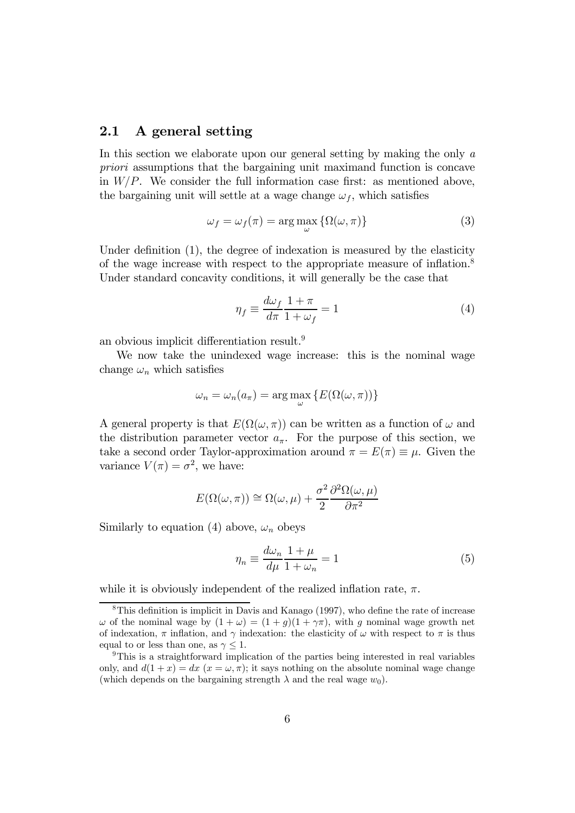#### 2.1 A general setting

In this section we elaborate upon our general setting by making the only a priori assumptions that the bargaining unit maximand function is concave in  $W/P$ . We consider the full information case first: as mentioned above, the bargaining unit will settle at a wage change  $\omega_f$ , which satisfies

$$
\omega_f = \omega_f(\pi) = \arg\max_{\omega} \{ \Omega(\omega, \pi) \}
$$
 (3)

Under definition  $(1)$ , the degree of indexation is measured by the elasticity of the wage increase with respect to the appropriate measure of inflation.<sup>8</sup> Under standard concavity conditions, it will generally be the case that

$$
\eta_f \equiv \frac{d\omega_f}{d\pi} \frac{1+\pi}{1+\omega_f} = 1\tag{4}
$$

an obvious implicit differentiation result.<sup>9</sup>

We now take the unindexed wage increase: this is the nominal wage change  $\omega_n$  which satisfies

$$
\omega_n = \omega_n(a_\pi) = \arg\max_{\omega} \{ E(\Omega(\omega, \pi)) \}
$$

A general property is that  $E(\Omega(\omega, \pi))$  can be written as a function of  $\omega$  and the distribution parameter vector  $a_{\pi}$ . For the purpose of this section, we take a second order Taylor-approximation around  $\pi = E(\pi) \equiv \mu$ . Given the variance  $V(\pi) = \sigma^2$ , we have:

$$
E(\Omega(\omega,\pi)) \cong \Omega(\omega,\mu) + \frac{\sigma^2}{2} \frac{\partial^2 \Omega(\omega,\mu)}{\partial \pi^2}
$$

Similarly to equation (4) above,  $\omega_n$  obeys

$$
\eta_n \equiv \frac{d\omega_n}{d\mu} \frac{1+\mu}{1+\omega_n} = 1\tag{5}
$$

while it is obviously independent of the realized inflation rate,  $\pi$ .

 ${}^{8}$ This definition is implicit in Davis and Kanago (1997), who define the rate of increase  $\omega$  of the nominal wage by  $(1 + \omega) = (1 + q)(1 + \gamma \pi)$ , with q nominal wage growth net of indexation,  $\pi$  inflation, and  $\gamma$  indexation: the elasticity of  $\omega$  with respect to  $\pi$  is thus equal to or less than one, as  $\gamma \leq 1$ .<br><sup>9</sup>This is a straightforward implication of the parties being interested in real variables

only, and  $d(1 + x) = dx$   $(x = \omega, \pi)$ ; it says nothing on the absolute nominal wage change (which depends on the bargaining strength  $\lambda$  and the real wage  $w_0$ ).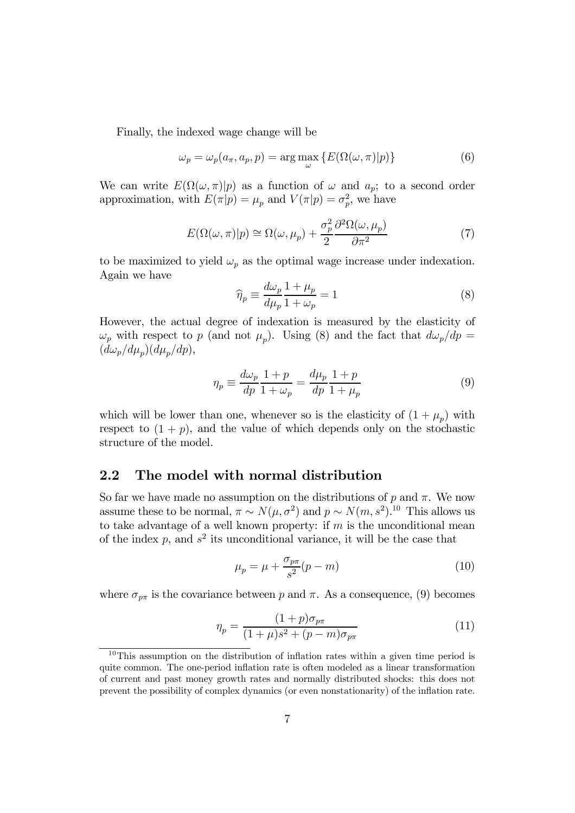Finally, the indexed wage change will be

$$
\omega_p = \omega_p(a_\pi, a_p, p) = \arg\max_{\omega} \{ E(\Omega(\omega, \pi)|p) \}
$$
 (6)

We can write  $E(\Omega(\omega,\pi)|p)$  as a function of  $\omega$  and  $a_p$ ; to a second order approximation, with  $E(\pi|p) = \mu_p$  and  $V(\pi|p) = \sigma_p^2$ , we have

$$
E(\Omega(\omega,\pi)|p) \cong \Omega(\omega,\mu_p) + \frac{\sigma_p^2}{2} \frac{\partial^2 \Omega(\omega,\mu_p)}{\partial \pi^2}
$$
(7)

to be maximized to yield  $\omega_p$  as the optimal wage increase under indexation. Again we have

$$
\widehat{\eta}_p \equiv \frac{d\omega_p}{d\mu_p} \frac{1 + \mu_p}{1 + \omega_p} = 1\tag{8}
$$

However, the actual degree of indexation is measured by the elasticity of  $\omega_p$  with respect to p (and not  $\mu_p$ ). Using (8) and the fact that  $d\omega_p/dp =$  $(d\omega_p/d\mu_p)(d\mu_p/dp),$ 

$$
\eta_p \equiv \frac{d\omega_p}{dp} \frac{1+p}{1+\omega_p} = \frac{d\mu_p}{dp} \frac{1+p}{1+\mu_p} \tag{9}
$$

which will be lower than one, whenever so is the elasticity of  $(1 + \mu_n)$  with respect to  $(1 + p)$ , and the value of which depends only on the stochastic structure of the model.

#### 2.2 The model with normal distribution

So far we have made no assumption on the distributions of  $p$  and  $\pi$ . We now assume these to be normal,  $\pi \sim N(\mu, \sigma^2)$  and  $p \sim N(m, s^2)$ .<sup>10</sup> This allows us to take advantage of a well known property: if  $m$  is the unconditional mean of the index  $p$ , and  $s^2$  its unconditional variance, it will be the case that

$$
\mu_p = \mu + \frac{\sigma_{p\pi}}{s^2} (p - m) \tag{10}
$$

where  $\sigma_{p\pi}$  is the covariance between p and  $\pi$ . As a consequence, (9) becomes

$$
\eta_p = \frac{(1+p)\sigma_{p\pi}}{(1+\mu)s^2 + (p-m)\sigma_{p\pi}} \tag{11}
$$

 $10$ This assumption on the distribution of inflation rates within a given time period is quite common. The one-period in‡ation rate is often modeled as a linear transformation of current and past money growth rates and normally distributed shocks: this does not prevent the possibility of complex dynamics (or even nonstationarity) of the in‡ation rate.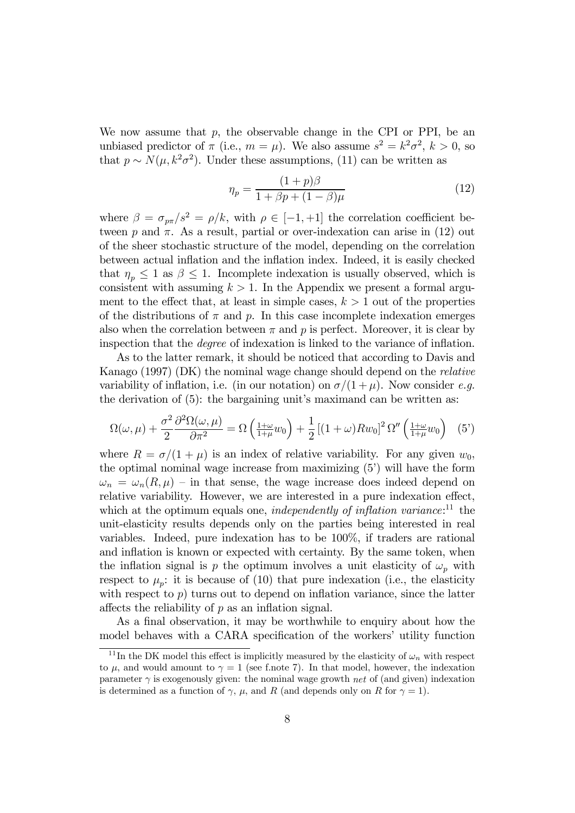We now assume that  $p$ , the observable change in the CPI or PPI, be an unbiased predictor of  $\pi$  (i.e.,  $m = \mu$ ). We also assume  $s^2 = k^2 \sigma^2$ ,  $k > 0$ , so that  $p \sim N(\mu, k^2\sigma^2)$ . Under these assumptions, (11) can be written as

$$
\eta_p = \frac{(1+p)\beta}{1+\beta p + (1-\beta)\mu} \tag{12}
$$

where  $\beta = \sigma_{p\pi}/s^2 = \rho/k$ , with  $\rho \in [-1, +1]$  the correlation coefficient between p and  $\pi$ . As a result, partial or over-indexation can arise in (12) out of the sheer stochastic structure of the model, depending on the correlation between actual inflation and the inflation index. Indeed, it is easily checked that  $\eta_p \leq 1$  as  $\beta \leq 1$ . Incomplete indexation is usually observed, which is consistent with assuming  $k > 1$ . In the Appendix we present a formal argument to the effect that, at least in simple cases,  $k > 1$  out of the properties of the distributions of  $\pi$  and p. In this case incomplete indexation emerges also when the correlation between  $\pi$  and p is perfect. Moreover, it is clear by inspection that the *degree* of indexation is linked to the variance of inflation.

As to the latter remark, it should be noticed that according to Davis and Kanago (1997) (DK) the nominal wage change should depend on the relative variability of inflation, i.e. (in our notation) on  $\sigma/(1+\mu)$ . Now consider e.g. the derivation of (5): the bargaining unit's maximand can be written as:

$$
\Omega(\omega,\mu) + \frac{\sigma^2}{2} \frac{\partial^2 \Omega(\omega,\mu)}{\partial \pi^2} = \Omega \left( \frac{1+\omega}{1+\mu} w_0 \right) + \frac{1}{2} \left[ (1+\omega) R w_0 \right]^2 \Omega'' \left( \frac{1+\omega}{1+\mu} w_0 \right) \tag{5'}
$$

where  $R = \sigma/(1 + \mu)$  is an index of relative variability. For any given  $w_0$ , the optimal nominal wage increase from maximizing (5') will have the form  $\omega_n = \omega_n(R,\mu)$  – in that sense, the wage increase does indeed depend on relative variability. However, we are interested in a pure indexation effect, which at the optimum equals one, *independently of inflation variance*:<sup>11</sup> the unit-elasticity results depends only on the parties being interested in real variables. Indeed, pure indexation has to be 100%, if traders are rational and inflation is known or expected with certainty. By the same token, when the inflation signal is p the optimum involves a unit elasticity of  $\omega_p$  with respect to  $\mu_{v}$ : it is because of (10) that pure indexation (i.e., the elasticity with respect to  $p$ ) turns out to depend on inflation variance, since the latter affects the reliability of  $p$  as an inflation signal.

As a final observation, it may be worthwhile to enquiry about how the model behaves with a CARA specification of the workers' utility function

<sup>&</sup>lt;sup>11</sup>In the DK model this effect is implicitly measured by the elasticity of  $\omega_n$  with respect to  $\mu$ , and would amount to  $\gamma = 1$  (see f.note 7). In that model, however, the indexation parameter  $\gamma$  is exogenously given: the nominal wage growth net of (and given) indexation is determined as a function of  $\gamma$ ,  $\mu$ , and R (and depends only on R for  $\gamma = 1$ ).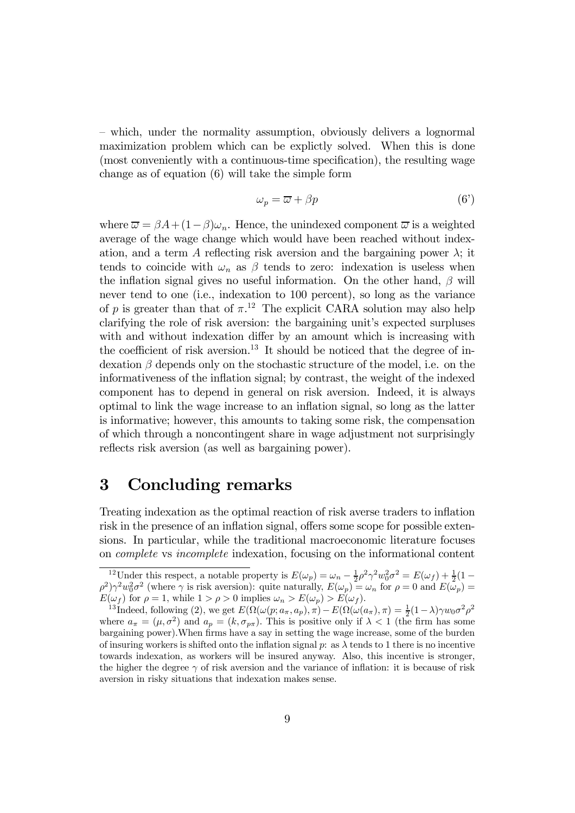– which, under the normality assumption, obviously delivers a lognormal maximization problem which can be explictly solved. When this is done (most conveniently with a continuous-time specification), the resulting wage change as of equation (6) will take the simple form

$$
\omega_p = \overline{\omega} + \beta p \tag{6'}
$$

where  $\overline{\omega} = \beta A + (1-\beta)\omega_n$ . Hence, the unindexed component  $\overline{\omega}$  is a weighted average of the wage change which would have been reached without indexation, and a term A reflecting risk aversion and the bargaining power  $\lambda$ ; it tends to coincide with  $\omega_n$  as  $\beta$  tends to zero: indexation is useless when the inflation signal gives no useful information. On the other hand,  $\beta$  will never tend to one (i.e., indexation to 100 percent), so long as the variance of p is greater than that of  $\pi$ .<sup>12</sup> The explicit CARA solution may also help clarifying the role of risk aversion: the bargaining unit's expected surpluses with and without indexation differ by an amount which is increasing with the coefficient of risk aversion.<sup>13</sup> It should be noticed that the degree of indexation  $\beta$  depends only on the stochastic structure of the model, i.e. on the informativeness of the inflation signal; by contrast, the weight of the indexed component has to depend in general on risk aversion. Indeed, it is always optimal to link the wage increase to an in‡ation signal, so long as the latter is informative; however, this amounts to taking some risk, the compensation of which through a noncontingent share in wage adjustment not surprisingly reflects risk aversion (as well as bargaining power).

## 3 Concluding remarks

Treating indexation as the optimal reaction of risk averse traders to inflation risk in the presence of an inflation signal, offers some scope for possible extensions. In particular, while the traditional macroeconomic literature focuses on complete vs incomplete indexation, focusing on the informational content

<sup>&</sup>lt;sup>12</sup>Under this respect, a notable property is  $E(\omega_p) = \omega_n - \frac{1}{2}\rho^2\gamma^2w_0^2\sigma^2 = E(\omega_f) + \frac{1}{2}(1-\gamma^2)\sigma^2$  $(\rho^2)\gamma^2 w_0^2 \sigma^2$  (where  $\gamma$  is risk aversion): quite naturally,  $E(\omega_p) = \omega_n$  for  $\rho = 0$  and  $E(\omega_p) =$  $E(\omega_f)$  for  $\rho = 1$ , while  $1 > \rho > 0$  implies  $\omega_n > E(\omega_p) > E(\omega_f)$ .<br><sup>13</sup>Indeed, following (2), we get  $E(\Omega(\omega(p; a_\pi, a_p), \pi) - E(\Omega(\omega(a_\pi), \pi) = \frac{1}{2}(1-\lambda)\gamma w_0 \sigma^2 \rho^2$ 

where  $a_{\pi} = (\mu, \sigma^2)$  and  $a_p = (k, \sigma_{p\pi})$ . This is positive only if  $\lambda < 1$  (the firm has some bargaining power). When firms have a say in setting the wage increase, some of the burden of insuring workers is shifted onto the inflation signal p: as  $\lambda$  tends to 1 there is no incentive towards indexation, as workers will be insured anyway. Also, this incentive is stronger, the higher the degree  $\gamma$  of risk aversion and the variance of inflation: it is because of risk aversion in risky situations that indexation makes sense.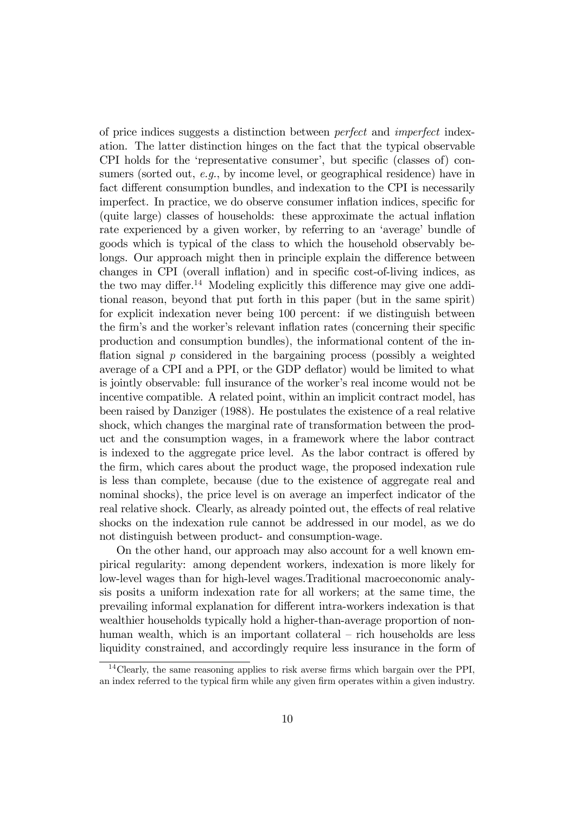of price indices suggests a distinction between perfect and imperfect indexation. The latter distinction hinges on the fact that the typical observable CPI holds for the 'representative consumer', but specific (classes of) consumers (sorted out, e.g., by income level, or geographical residence) have in fact different consumption bundles, and indexation to the CPI is necessarily imperfect. In practice, we do observe consumer inflation indices, specific for (quite large) classes of households: these approximate the actual in‡ation rate experienced by a given worker, by referring to an 'average' bundle of goods which is typical of the class to which the household observably belongs. Our approach might then in principle explain the difference between changes in CPI (overall inflation) and in specific cost-of-living indices, as the two may differ.<sup>14</sup> Modeling explicitly this difference may give one additional reason, beyond that put forth in this paper (but in the same spirit) for explicit indexation never being 100 percent: if we distinguish between the firm's and the worker's relevant inflation rates (concerning their specific production and consumption bundles), the informational content of the in flation signal  $p$  considered in the bargaining process (possibly a weighted average of a CPI and a PPI, or the GDP deflator) would be limited to what is jointly observable: full insurance of the worker's real income would not be incentive compatible. A related point, within an implicit contract model, has been raised by Danziger (1988). He postulates the existence of a real relative shock, which changes the marginal rate of transformation between the product and the consumption wages, in a framework where the labor contract is indexed to the aggregate price level. As the labor contract is offered by the firm, which cares about the product wage, the proposed indexation rule is less than complete, because (due to the existence of aggregate real and nominal shocks), the price level is on average an imperfect indicator of the real relative shock. Clearly, as already pointed out, the effects of real relative shocks on the indexation rule cannot be addressed in our model, as we do not distinguish between product- and consumption-wage.

On the other hand, our approach may also account for a well known empirical regularity: among dependent workers, indexation is more likely for low-level wages than for high-level wages.Traditional macroeconomic analysis posits a uniform indexation rate for all workers; at the same time, the prevailing informal explanation for different intra-workers indexation is that wealthier households typically hold a higher-than-average proportion of nonhuman wealth, which is an important collateral – rich households are less liquidity constrained, and accordingly require less insurance in the form of

 $14$ Clearly, the same reasoning applies to risk averse firms which bargain over the PPI, an index referred to the typical firm while any given firm operates within a given industry.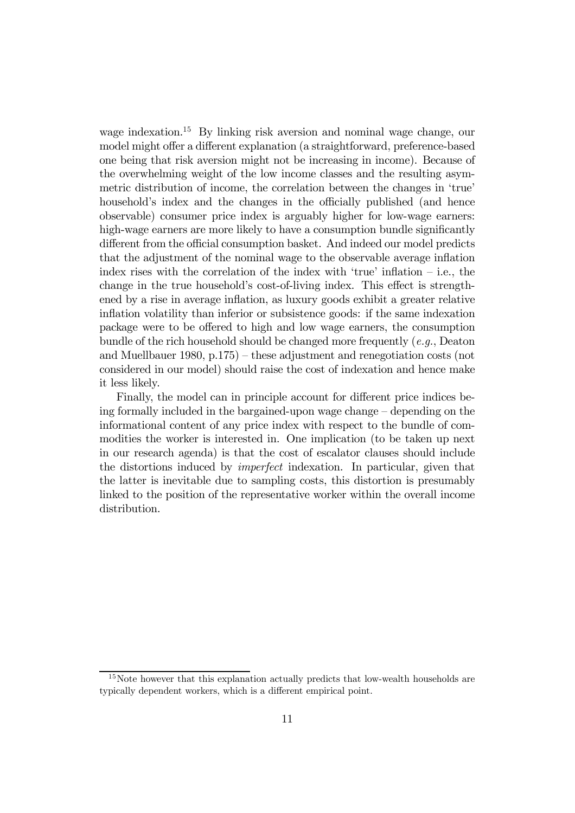wage indexation.<sup>15</sup> By linking risk aversion and nominal wage change, our model might offer a different explanation (a straightforward, preference-based one being that risk aversion might not be increasing in income). Because of the overwhelming weight of the low income classes and the resulting asymmetric distribution of income, the correlation between the changes in 'true' household's index and the changes in the officially published (and hence observable) consumer price index is arguably higher for low-wage earners: high-wage earners are more likely to have a consumption bundle significantly different from the official consumption basket. And indeed our model predicts that the adjustment of the nominal wage to the observable average inflation index rises with the correlation of the index with 'true' inflation  $-$  i.e., the change in the true household's cost-of-living index. This effect is strengthened by a rise in average inflation, as luxury goods exhibit a greater relative inflation volatility than inferior or subsistence goods: if the same indexation package were to be offered to high and low wage earners, the consumption bundle of the rich household should be changed more frequently  $(e,q)$ , Deaton and Muellbauer 1980, p.175) – these adjustment and renegotiation costs (not considered in our model) should raise the cost of indexation and hence make it less likely.

Finally, the model can in principle account for different price indices being formally included in the bargained-upon wage change – depending on the informational content of any price index with respect to the bundle of commodities the worker is interested in. One implication (to be taken up next in our research agenda) is that the cost of escalator clauses should include the distortions induced by imperfect indexation. In particular, given that the latter is inevitable due to sampling costs, this distortion is presumably linked to the position of the representative worker within the overall income distribution.

<sup>&</sup>lt;sup>15</sup>Note however that this explanation actually predicts that low-wealth households are typically dependent workers, which is a different empirical point.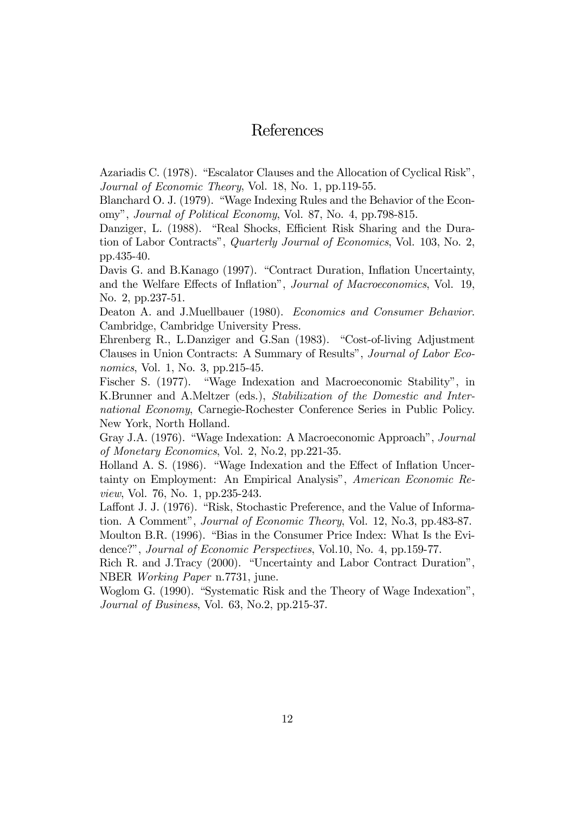## References

Azariadis C. (1978). "Escalator Clauses and the Allocation of Cyclical Risk", Journal of Economic Theory, Vol. 18, No. 1, pp.119-55.

Blanchard O. J. (1979). "Wage Indexing Rules and the Behavior of the Economy", Journal of Political Economy, Vol. 87, No. 4, pp.798-815.

Danziger, L. (1988). "Real Shocks, Efficient Risk Sharing and the Duration of Labor Contracts", Quarterly Journal of Economics, Vol. 103, No. 2, pp.435-40.

Davis G. and B.Kanago (1997). "Contract Duration, Inflation Uncertainty, and the Welfare Effects of Inflation", *Journal of Macroeconomics*, Vol. 19, No. 2, pp.237-51.

Deaton A. and J.Muellbauer (1980). Economics and Consumer Behavior. Cambridge, Cambridge University Press.

Ehrenberg R., L.Danziger and G.San (1983). "Cost-of-living Adjustment Clauses in Union Contracts: A Summary of Results", Journal of Labor Economics, Vol. 1, No. 3, pp.215-45.

Fischer S. (1977). "Wage Indexation and Macroeconomic Stability", in K.Brunner and A.Meltzer (eds.), Stabilization of the Domestic and International Economy, Carnegie-Rochester Conference Series in Public Policy. New York, North Holland.

Gray J.A. (1976). "Wage Indexation: A Macroeconomic Approach", Journal of Monetary Economics, Vol. 2, No.2, pp.221-35.

Holland A. S. (1986). "Wage Indexation and the Effect of Inflation Uncertainty on Employment: An Empirical Analysis", American Economic Review, Vol. 76, No. 1, pp.235-243.

Laffont J. J. (1976). "Risk, Stochastic Preference, and the Value of Information. A Comment", Journal of Economic Theory, Vol. 12, No.3, pp.483-87.

Moulton B.R. (1996). "Bias in the Consumer Price Index: What Is the Evidence?", Journal of Economic Perspectives, Vol.10, No. 4, pp.159-77.

Rich R. and J.Tracy (2000). "Uncertainty and Labor Contract Duration", NBER Working Paper n.7731, june.

Woglom G. (1990). "Systematic Risk and the Theory of Wage Indexation", Journal of Business, Vol. 63, No.2, pp.215-37.